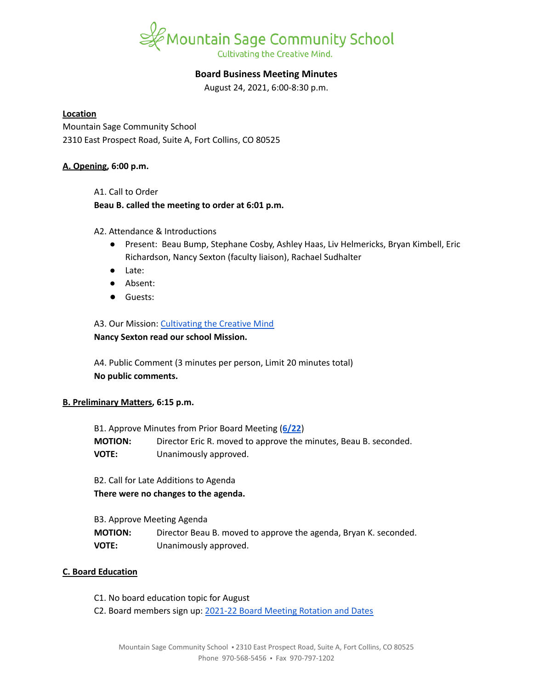

# **Board Business Meeting Minutes**

August 24, 2021, 6:00-8:30 p.m.

### **Location**

Mountain Sage Community School 2310 East Prospect Road, Suite A, Fort Collins, CO 80525

### **A. Opening, 6:00 p.m.**

A1. Call to Order

### **Beau B. called the meeting to order at 6:01 p.m.**

A2. Attendance & Introductions

- Present: Beau Bump, Stephane Cosby, Ashley Haas, Liv Helmericks, Bryan Kimbell, Eric Richardson, Nancy Sexton (faculty liaison), Rachael Sudhalter
- Late:
- Absent:
- Guests:

## A3. Our Mission: [Cultivating](https://www.mountainsage.org/about-us/mission-and-vision/) the Creative Mind

## **Nancy Sexton read our school Mission.**

A4. Public Comment (3 minutes per person, Limit 20 minutes total) **No public comments.**

## **B. Preliminary Matters, 6:15 p.m.**

| B1. Approve Minutes from Prior Board Meeting (6/22) |                                                                  |
|-----------------------------------------------------|------------------------------------------------------------------|
| <b>MOTION:</b>                                      | Director Eric R. moved to approve the minutes, Beau B. seconded. |
| <b>VOTE:</b>                                        | Unanimously approved.                                            |

B2. Call for Late Additions to Agenda **There were no changes to the agenda.**

B3. Approve Meeting Agenda **MOTION:** Director Beau B. moved to approve the agenda, Bryan K. seconded. **VOTE:** Unanimously approved.

## **C. Board Education**

- C1. No board education topic for August
- C2. Board members sign up: 2021-22 Board Meeting [Rotation](https://docs.google.com/spreadsheets/d/1PuD68cEx5_6meDde-CYMAhzE72YI3h44im0U24Vb0GE/edit?usp=sharing) and Dates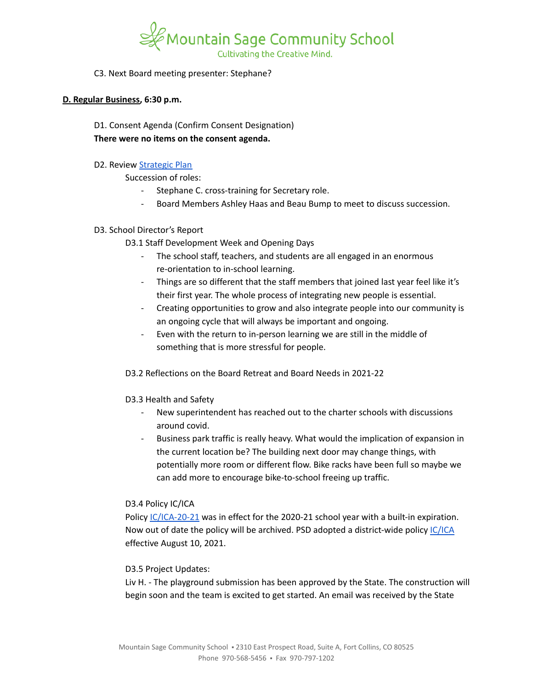

### C3. Next Board meeting presenter: Stephane?

#### **D. Regular Business, 6:30 p.m.**

D1. Consent Agenda (Confirm Consent Designation) **There were no items on the consent agenda.**

### D2. Review [Strategic](https://docs.google.com/spreadsheets/d/1RR7z4DQ0Oq8Z29iw-TRpzfxcoDyemB4IFJY4Hpq8Y_k/edit?usp=sharing) Plan

Succession of roles:

- Stephane C. cross-training for Secretary role.
- Board Members Ashley Haas and Beau Bump to meet to discuss succession.

## D3. School Director's Report

D3.1 Staff Development Week and Opening Days

- The school staff, teachers, and students are all engaged in an enormous re-orientation to in-school learning.
- Things are so different that the staff members that joined last year feel like it's their first year. The whole process of integrating new people is essential.
- Creating opportunities to grow and also integrate people into our community is an ongoing cycle that will always be important and ongoing.
- Even with the return to in-person learning we are still in the middle of something that is more stressful for people.

## D3.2 Reflections on the Board Retreat and Board Needs in 2021-22

## D3.3 Health and Safety

- New superintendent has reached out to the charter schools with discussions around covid.
- Business park traffic is really heavy. What would the implication of expansion in the current location be? The building next door may change things, with potentially more room or different flow. Bike racks have been full so maybe we can add more to encourage bike-to-school freeing up traffic.

#### D3.4 Policy IC/ICA

Policy [IC/ICA-20-21](https://www.mountainsage.org/wp-content/uploads/2020/09/IC_ICA-20-21-EDUCATIONAL-PROCESS-DEFINITION.v20200821.pdf) was in effect for the 2020-21 school year with a built-in expiration. Now out of date the policy will be archived. PSD adopted a district-wide policy [IC/ICA](https://www.psdschools.org/sites/default/files/PSD/policies/ICICA.pdf) effective August 10, 2021.

## D3.5 Project Updates:

Liv H. - The playground submission has been approved by the State. The construction will begin soon and the team is excited to get started. An email was received by the State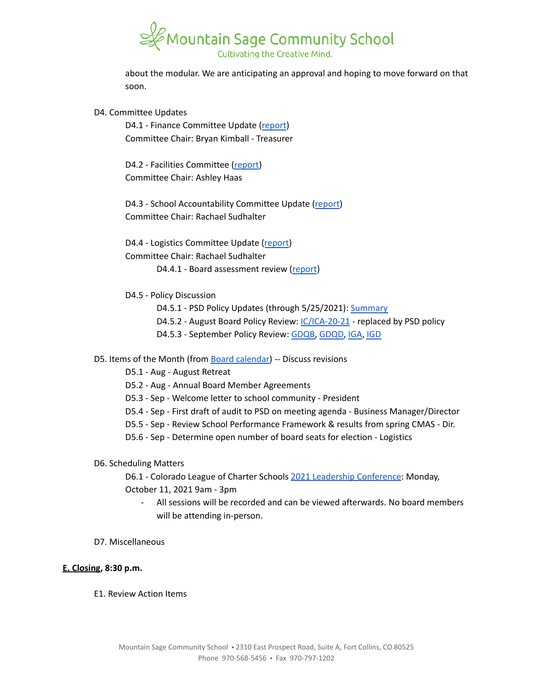

about the modular. We are anticipating an approval and hoping to move forward on that soon.

#### D4. Committee Updates

D4.1 - Finance Committee Update ([report](https://docs.google.com/document/d/1GwoCqvIn9Ds9wQTt7NQiaTCCPB8a9DhYeVe3znFo48U)) Committee Chair: Bryan Kimball - Treasurer

D4.2 - Facilities Committee [\(report\)](https://docs.google.com/document/d/1GfUVc5VATx41O0tTZkQZbEbfTH7OrDQ7g7n-jLgymJE) Committee Chair: Ashley Haas

D4.3 - School Accountability Committee Update [\(report](https://docs.google.com/document/d/1KRxZaz3js-Rn0RM_ZfCsHITvV_xzR6H6BXHkhEu_ueM/edit?usp=sharing)) Committee Chair: Rachael Sudhalter

D4.4 - Logistics Committee Update ([report](https://docs.google.com/document/d/1zpHzmWB86TIEpi2tQV98tY10xiclpsOBiSo0HjtPwk0/edit?usp=sharing))

Committee Chair: Rachael Sudhalter

D4.4.1 - Board assessment review [\(report](https://docs.google.com/document/d/1lvhsKLgknff493cfbCEbAR1dw842GD4ZXQA5iiwmses/edit?usp=sharing))

- D4.5 Policy Discussion
	- D4.5.1 PSD Policy Updates (through 5/25/2021): [Summary](https://docs.google.com/document/d/12319-cNb-nlyQaQrS0aaWUqn3z0eMqKSm03wFqs8r8I/edit?usp=sharing)
	- D4.5.2 August Board Policy Review: [IC/ICA-20-21](https://docs.google.com/document/d/1vYwedJYcHq6j04mLqMZ8YIONGwVQBzBu7vgCSZ_N1o8) replaced by PSD policy
	- D4.5.3 September Policy Review: [GDQB,](https://docs.google.com/document/d/1v4tGD07QFE56LKxTItzfu02rLfKRePcJk07Ao1XmLRg) [GDQD,](https://drive.google.com/open?id=1Ewwb0RIPZasF4ZmW7YUI-MQyvjgK7_aGBF7_874vNm8) [IGA](https://drive.google.com/open?id=17V0SGbIQdLADRZ5pwr_sr0Dl9RI-k8U9fvpsVhO2Cso), [IGD](https://drive.google.com/open?id=1dp0fAXOoFv1_XlJI0FYOgRRxLkpDFmdC1HH8hRpezBg)

#### D5. Items of the Month (from Board [calendar\)](https://docs.google.com/document/d/12S6s-qevYMsnj8Cr2yw6uMO7S7hL3gz2oKvXZk5ZndQ/edit?usp=sharing) -- Discuss revisions

- D5.1 Aug August Retreat
- D5.2 Aug Annual Board Member Agreements
- D5.3 Sep Welcome letter to school community President
- D5.4 Sep First draft of audit to PSD on meeting agenda Business Manager/Director
- D5.5 Sep Review School Performance Framework & results from spring CMAS Dir.
- D5.6 Sep Determine open number of board seats for election Logistics
- D6. Scheduling Matters

D6.1 - Colorado League of Charter Schools 2021 Leadership [Conference](https://coloradoleague.org/page/ls21?_zs=ct7mc&_zl=832j2): Monday, October 11, 2021 9am - 3pm

- All sessions will be recorded and can be viewed afterwards. No board members will be attending in-person.
- D7. Miscellaneous

#### **E. Closing, 8:30 p.m.**

E1. Review Action Items